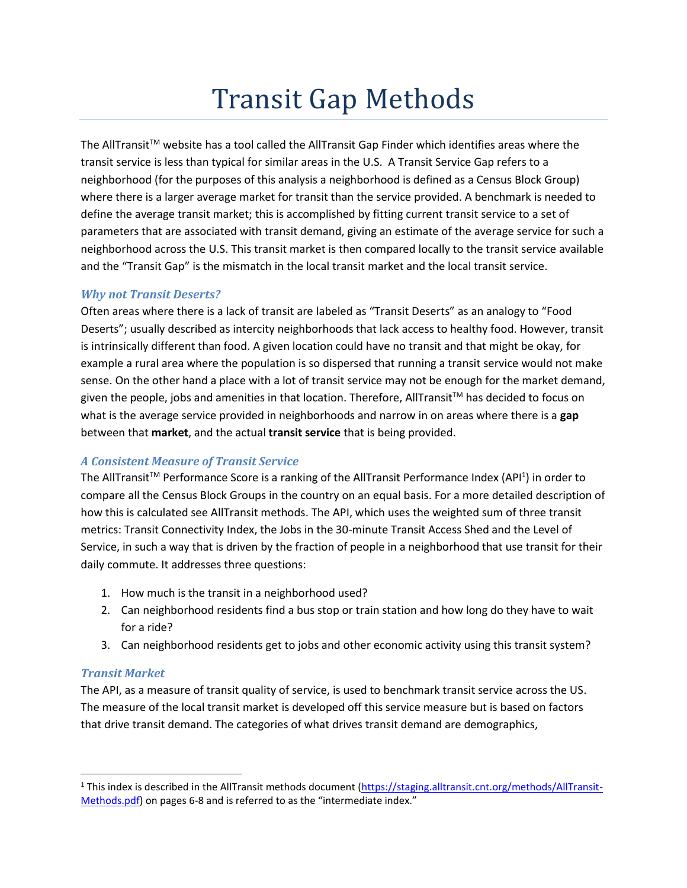# Transit Gap Methods

The AllTransitTM website has a tool called the AllTransit Gap Finder which identifies areas where the transit service is less than typical for similar areas in the U.S. A Transit Service Gap refers to a neighborhood (for the purposes of this analysis a neighborhood is defined as a Census Block Group) where there is a larger average market for transit than the service provided. A benchmark is needed to define the average transit market; this is accomplished by fitting current transit service to a set of parameters that are associated with transit demand, giving an estimate of the average service for such a neighborhood across the U.S. This transit market is then compared locally to the transit service available and the "Transit Gap" is the mismatch in the local transit market and the local transit service.

# *Why not Transit Deserts?*

Often areas where there is a lack of transit are labeled as "Transit Deserts" as an analogy to "Food Deserts"; usually described as intercity neighborhoods that lack access to healthy food. However, transit is intrinsically different than food. A given location could have no transit and that might be okay, for example a rural area where the population is so dispersed that running a transit service would not make sense. On the other hand a place with a lot of transit service may not be enough for the market demand, given the people, jobs and amenities in that location. Therefore, AllTransit™ has decided to focus on what is the average service provided in neighborhoods and narrow in on areas where there is a **gap** between that **market**, and the actual **transit service** that is being provided.

# *A Consistent Measure of Transit Service*

The AllTransit<sup>™</sup> Performance Score is a ranking of the AllTransit Performance Index (API<sup>1</sup>) in order to compare all the Census Block Groups in the country on an equal basis. For a more detailed description of how this is calculated see AllTransit methods. The API, which uses the weighted sum of three transit metrics: Transit Connectivity Index, the Jobs in the 30-minute Transit Access Shed and the Level of Service, in such a way that is driven by the fraction of people in a neighborhood that use transit for their daily commute. It addresses three questions:

- 1. How much is the transit in a neighborhood used?
- 2. Can neighborhood residents find a bus stop or train station and how long do they have to wait for a ride?
- 3. Can neighborhood residents get to jobs and other economic activity using this transit system?

#### *Transit Market*

 $\overline{\phantom{a}}$ 

The API, as a measure of transit quality of service, is used to benchmark transit service across the US. The measure of the local transit market is developed off this service measure but is based on factors that drive transit demand. The categories of what drives transit demand are demographics,

<sup>&</sup>lt;sup>1</sup> This index is described in the AllTransit methods document [\(https://staging.alltransit.cnt.org/methods/AllTransit-](https://staging.alltransit.cnt.org/methods/AllTransit-Methods.pdf)[Methods.pdf\)](https://staging.alltransit.cnt.org/methods/AllTransit-Methods.pdf) on pages 6-8 and is referred to as the "intermediate index."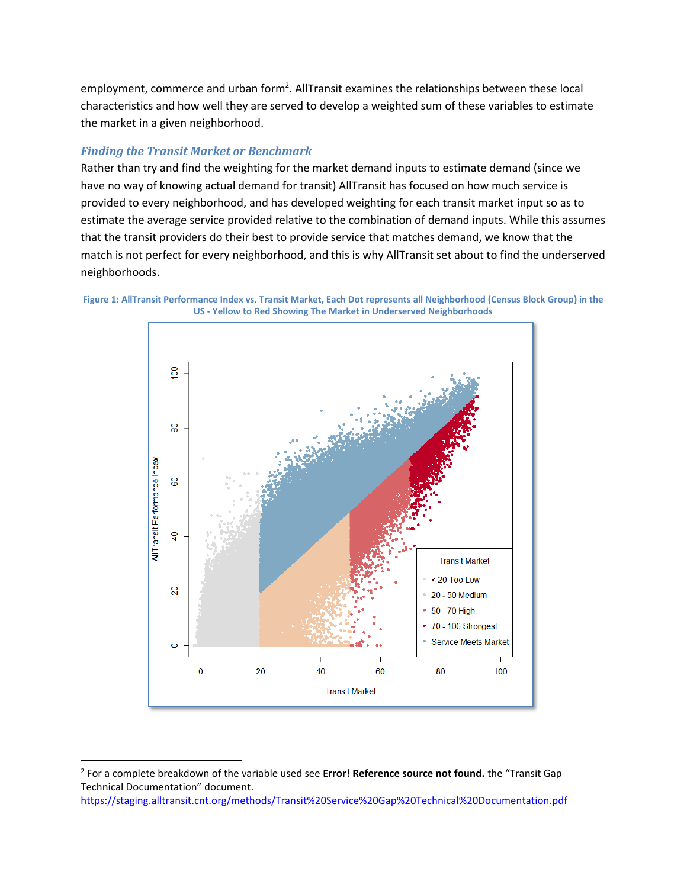employment, commerce and urban form<sup>2</sup>. AllTransit examines the relationships between these local characteristics and how well they are served to develop a weighted sum of these variables to estimate the market in a given neighborhood.

# *Finding the Transit Market or Benchmark*

 $\overline{a}$ 

Rather than try and find the weighting for the market demand inputs to estimate demand (since we have no way of knowing actual demand for transit) AllTransit has focused on how much service is provided to every neighborhood, and has developed weighting for each transit market input so as to estimate the average service provided relative to the combination of demand inputs. While this assumes that the transit providers do their best to provide service that matches demand, we know that the match is not perfect for every neighborhood, and this is why AllTransit set about to find the underserved neighborhoods.

<span id="page-1-0"></span>



<https://staging.alltransit.cnt.org/methods/Transit%20Service%20Gap%20Technical%20Documentation.pdf>

<sup>2</sup> For a complete breakdown of the variable used see **Error! Reference source not found.** the "Transit Gap Technical Documentation" document.